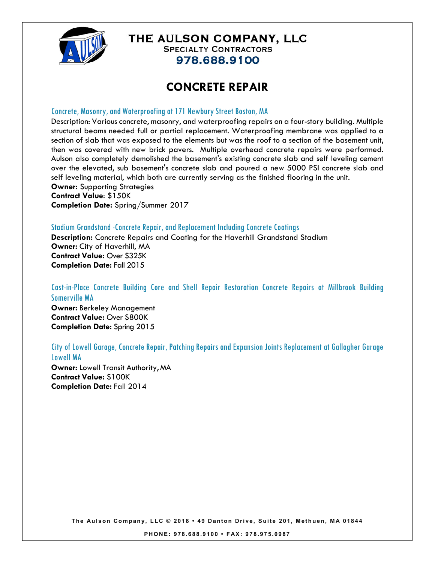

### THE AULSON COMPANY, LLC **SPECIALTY CONTRACTORS**

978.688.9100

# **CONCRETE REPAIR**

#### Concrete, Masonry, and Waterproofing at 171 Newbury Street Boston, MA

Description: Various concrete, masonry, and waterproofing repairs on a four-story building. Multiple structural beams needed full or partial replacement. Waterproofing membrane was applied to a section of slab that was exposed to the elements but was the roof to a section of the basement unit, then was covered with new brick pavers. Multiple overhead concrete repairs were performed. Aulson also completely demolished the basement's existing concrete slab and self leveling cement over the elevated, sub basement's concrete slab and poured a new 5000 PSI concrete slab and self leveling material, which both are currently serving as the finished flooring in the unit. **Owner:** Supporting Strategies

**Contract Value**: \$150K **Completion Date:** Spring/Summer 2017

#### Stadium Grandstand -Concrete Repair, and Replacement Including Concrete Coatings

**Description:** Concrete Repairs and Coating for the Haverhill Grandstand Stadium **Owner:** City of Haverhill, MA **Contract Value:** Over \$325K **Completion Date:** Fall 2015

### Cast-in-Place Concrete Building Core and Shell Repair Restoration Concrete Repairs at Millbrook Building Somerville MA

**Owner:** Berkeley Management **Contract Value:** Over \$800K **Completion Date:** Spring 2015

#### City of Lowell Garage, Concrete Repair, Patching Repairs and Expansion Joints Replacement at Gallagher Garage Lowell MA

**Owner:** Lowell Transit Authority, MA **Contract Value:** \$100K **Completion Date:** Fall 2014

**The Aulson Company, LLC © 2018 • 49 Danton Drive, Suite 201, Me thuen, MA 01844**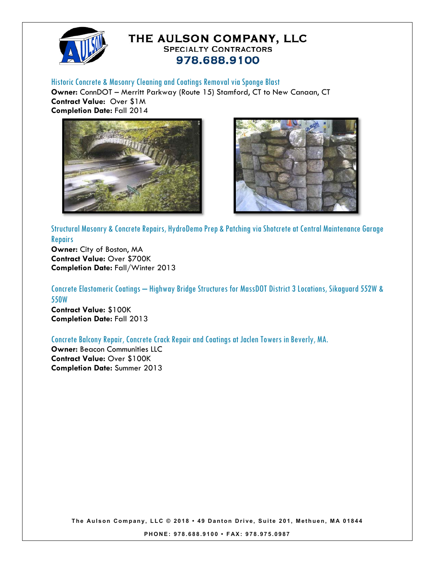

## THE AULSON COMPANY, LLC **SPECIALTY CONTRACTORS** 978.688.9100

Historic Concrete & Masonry Cleaning and Coatings Removal via Sponge Blast

**Owner:** ConnDOT – Merritt Parkway (Route 15) Stamford, CT to New Canaan, CT **Contract Value:** Over \$1M **Completion Date:** Fall 2014





Structural Masonry & Concrete Repairs, HydroDemo Prep & Patching via Shotcrete at Central Maintenance Garage **Repairs** 

**Owner:** City of Boston, MA **Contract Value:** Over \$700K **Completion Date:** Fall/Winter 2013

Concrete Elastomeric Coatings – Highway Bridge Structures for MassDOT District 3 Locations, Sikaguard 552W & 550W **Contract Value:** \$100K

**Completion Date:** Fall 2013

Concrete Balcony Repair, Concrete Crack Repair and Coatings at Jaclen Towers in Beverly, MA.

**Owner:** Beacon Communities LLC **Contract Value:** Over \$100K **Completion Date:** Summer 2013

**The Aulson Company, LLC © 2018 • 49 Danton Drive, Suite 201, Me thuen, MA 01844** 

**PHONE: 978.688.9100 • FAX: 978.975.0987**